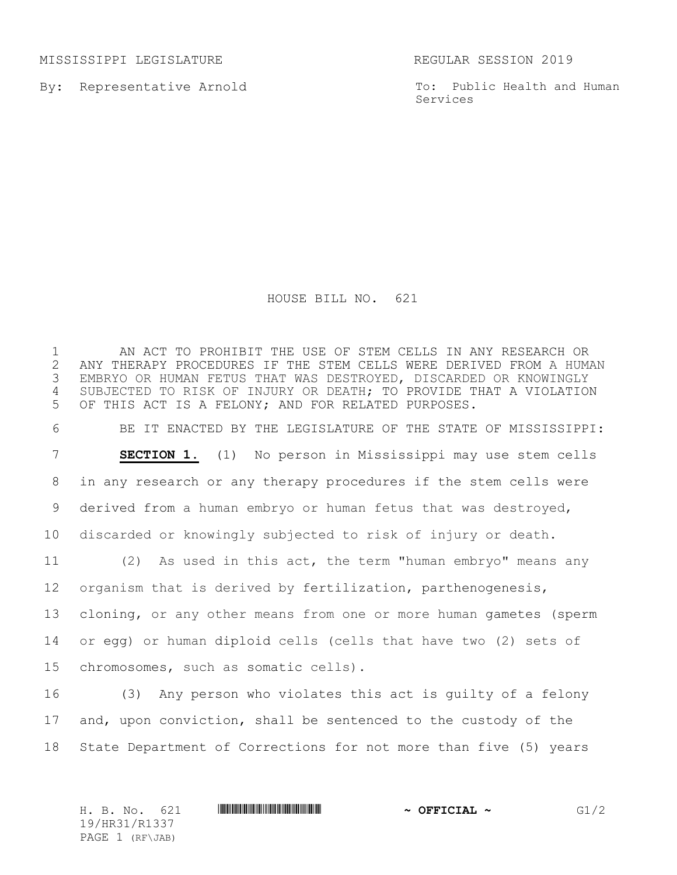MISSISSIPPI LEGISLATURE REGULAR SESSION 2019

By: Representative Arnold

To: Public Health and Human Services

## HOUSE BILL NO. 621

 AN ACT TO PROHIBIT THE USE OF STEM CELLS IN ANY RESEARCH OR 2 ANY THERAPY PROCEDURES IF THE STEM CELLS WERE DERIVED FROM A HUMAN<br>3 EMBRYO OR HUMAN FETUS THAT WAS DESTROYED, DISCARDED OR KNOWINGLY EMBRYO OR HUMAN FETUS THAT WAS DESTROYED, DISCARDED OR KNOWINGLY SUBJECTED TO RISK OF INJURY OR DEATH; TO PROVIDE THAT A VIOLATION OF THIS ACT IS A FELONY; AND FOR RELATED PURPOSES.

 BE IT ENACTED BY THE LEGISLATURE OF THE STATE OF MISSISSIPPI: **SECTION 1.** (1) No person in Mississippi may use stem cells in any research or any therapy procedures if the stem cells were derived from a human embryo or human fetus that was destroyed, discarded or knowingly subjected to risk of injury or death.

 (2) As used in this act, the term "human embryo" means any organism that is derived by fertilization, parthenogenesis, cloning, or any other means from one or more human gametes (sperm or egg) or human diploid cells (cells that have two (2) sets of chromosomes, such as somatic cells).

 (3) Any person who violates this act is guilty of a felony and, upon conviction, shall be sentenced to the custody of the State Department of Corrections for not more than five (5) years

H. B. No. 621 **HR31/R1337 HR31/R1337 ~ OFFICIAL ~** G1/2 19/HR31/R1337 PAGE 1 (RF\JAB)